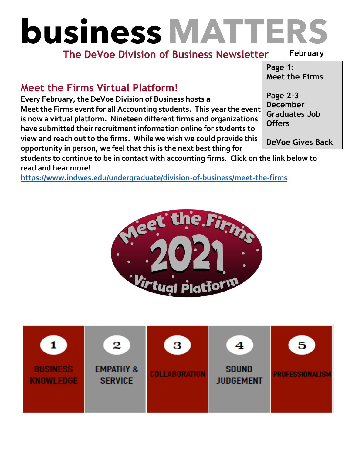# **business MATTERS**

### **The DeVoe Division of Business Newsletter**

#### **February**

#### **Page 1: Meet the Firms**

## **Meet the Firms Virtual Platform!**

**Every February, the DeVoe Division of Business hosts a Meet the Firms event for all Accounting students. This year the event is now a virtual platform. Nineteen different firms and organizations have submitted their recruitment information online for students to view and reach out to the firms. While we wish we could provide this opportunity in person, we feel that this is the next best thing for** 

**Page 2-3 December Graduates Job Offers** 

**DeVoe Gives Back** 

**students to continue to be in contact with accounting firms. Click on the link below to read and hear more!**

**<https://www.indwes.edu/undergraduate/division-of-business/meet-the-firms>**



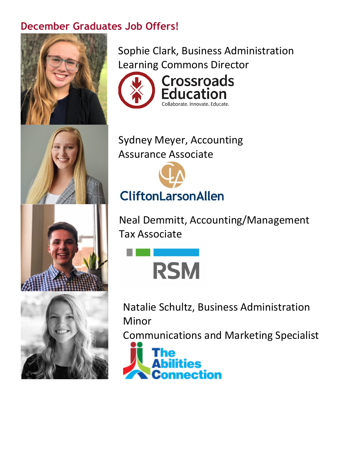## **December Graduates Job Offers!**







Sophie Clark, Business Administration Learning Commons Director



# Sydney Meyer, Accounting Assurance Associate



Neal Demmitt, Accounting/Management Tax Associate



Natalie Schultz, Business Administration Minor

Communications and Marketing Specialist